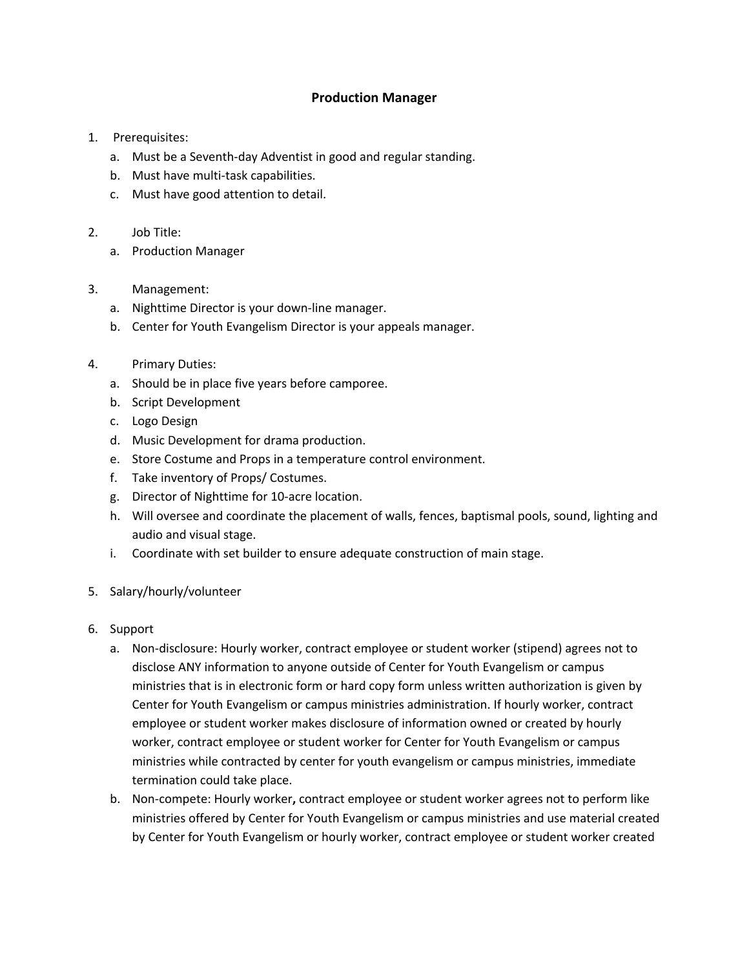## **Production Manager**

- 1. Prerequisites:
	- a. Must be a Seventh-day Adventist in good and regular standing.
	- b. Must have multi-task capabilities.
	- c. Must have good attention to detail.
- 2. Job Title:
	- a. Production Manager
- 3. Management:
	- a. Nighttime Director is your down-line manager.
	- b. Center for Youth Evangelism Director is your appeals manager.
- 4. Primary Duties:
	- a. Should be in place five years before camporee.
	- b. Script Development
	- c. Logo Design
	- d. Music Development for drama production.
	- e. Store Costume and Props in a temperature control environment.
	- f. Take inventory of Props/ Costumes.
	- g. Director of Nighttime for 10-acre location.
	- h. Will oversee and coordinate the placement of walls, fences, baptismal pools, sound, lighting and audio and visual stage.
	- i. Coordinate with set builder to ensure adequate construction of main stage.
- 5. Salary/hourly/volunteer
- 6. Support
	- a. Non-disclosure: Hourly worker, contract employee or student worker (stipend) agrees not to disclose ANY information to anyone outside of Center for Youth Evangelism or campus ministries that is in electronic form or hard copy form unless written authorization is given by Center for Youth Evangelism or campus ministries administration. If hourly worker, contract employee or student worker makes disclosure of information owned or created by hourly worker, contract employee or student worker for Center for Youth Evangelism or campus ministries while contracted by center for youth evangelism or campus ministries, immediate termination could take place.
	- b. Non-compete: Hourly worker**,** contract employee or student worker agrees not to perform like ministries offered by Center for Youth Evangelism or campus ministries and use material created by Center for Youth Evangelism or hourly worker, contract employee or student worker created